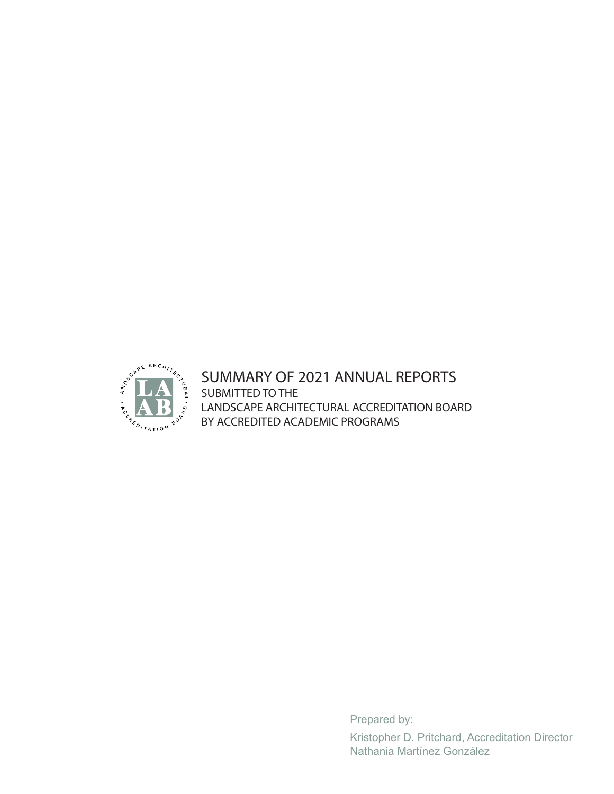

## SUMMARY OF 2021 ANNUAL REPORTS SUBMITTED TO THE LANDSCAPE ARCHITECTURAL ACCREDITATION BOARD BY ACCREDITED ACADEMIC PROGRAMS

Prepared by:

Kristopher D. Pritchard, Accreditation Director Nathania Martínez González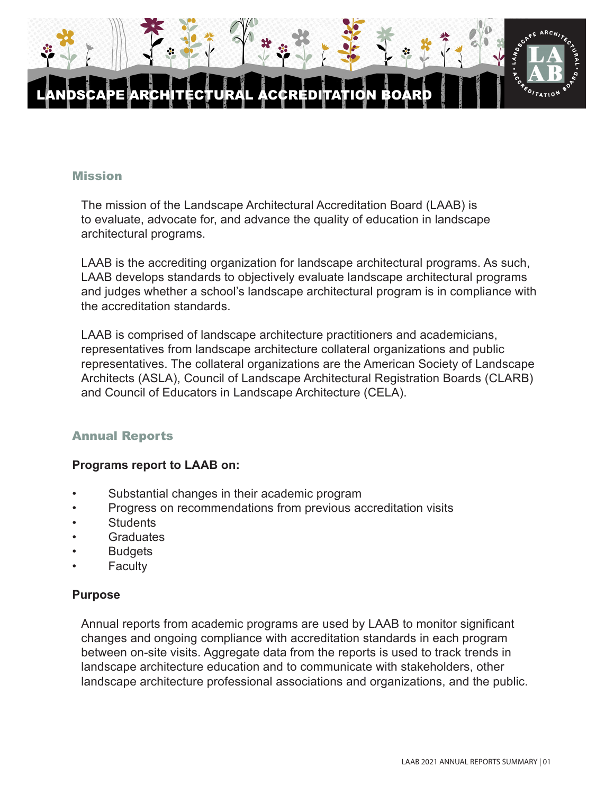

#### **Mission**

The mission of the Landscape Architectural Accreditation Board (LAAB) is to evaluate, advocate for, and advance the quality of education in landscape architectural programs.

LAAB is the accrediting organization for landscape architectural programs. As such, LAAB develops standards to objectively evaluate landscape architectural programs and judges whether a school's landscape architectural program is in compliance with the accreditation standards.

LAAB is comprised of landscape architecture practitioners and academicians, representatives from landscape architecture collateral organizations and public representatives. The collateral organizations are the American Society of Landscape Architects (ASLA), Council of Landscape Architectural Registration Boards (CLARB) and Council of Educators in Landscape Architecture (CELA).

#### Annual Reports

#### **Programs report to LAAB on:**

- Substantial changes in their academic program
- Progress on recommendations from previous accreditation visits
- **Students**
- Graduates
- **Budgets**
- Faculty

#### **Purpose**

Annual reports from academic programs are used by LAAB to monitor significant changes and ongoing compliance with accreditation standards in each program between on-site visits. Aggregate data from the reports is used to track trends in landscape architecture education and to communicate with stakeholders, other landscape architecture professional associations and organizations, and the public.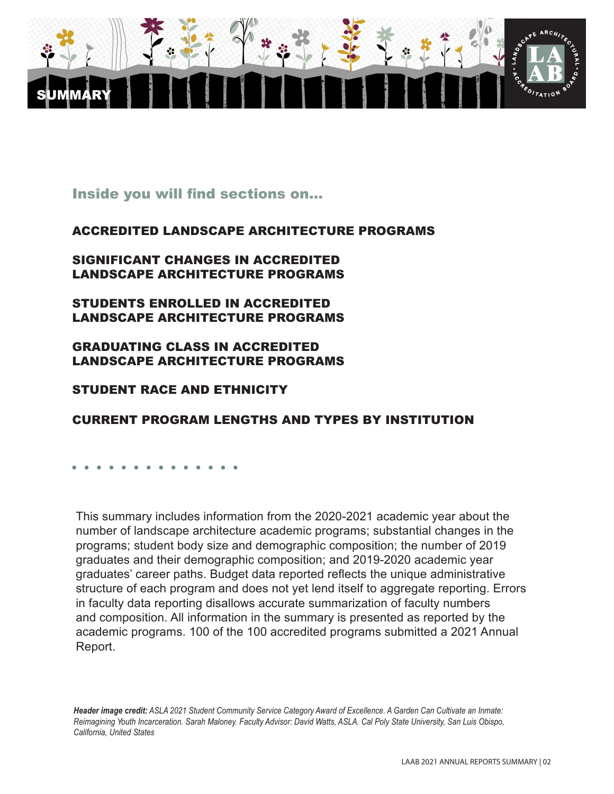

## Inside you will find sections on...

#### ACCREDITED LANDSCAPE ARCHITECTURE PROGRAMS

#### SIGNIFICANT CHANGES IN ACCREDITED LANDSCAPE ARCHITECTURE PROGRAMS

STUDENTS ENROLLED IN ACCREDITED LANDSCAPE ARCHITECTURE PROGRAMS

#### GRADUATING CLASS IN ACCREDITED LANDSCAPE ARCHITECTURE PROGRAMS

#### STUDENT RACE AND ETHNICITY

## CURRENT PROGRAM LENGTHS AND TYPES BY INSTITUTION

This summary includes information from the 2020-2021 academic year about the number of landscape architecture academic programs; substantial changes in the programs; student body size and demographic composition; the number of 2019 graduates and their demographic composition; and 2019-2020 academic year graduates' career paths. Budget data reported reflects the unique administrative structure of each program and does not yet lend itself to aggregate reporting. Errors in faculty data reporting disallows accurate summarization of faculty numbers and composition. All information in the summary is presented as reported by the academic programs. 100 of the 100 accredited programs submitted a 2021 Annual Report.

*Header image credit: ASLA 2021 Student Community Service Category Award of Excellence. A Garden Can Cultivate an Inmate: Reimagining Youth Incarceration. Sarah Maloney. Faculty Advisor: David Watts, ASLA. Cal Poly State University, San Luis Obispo, California, United States*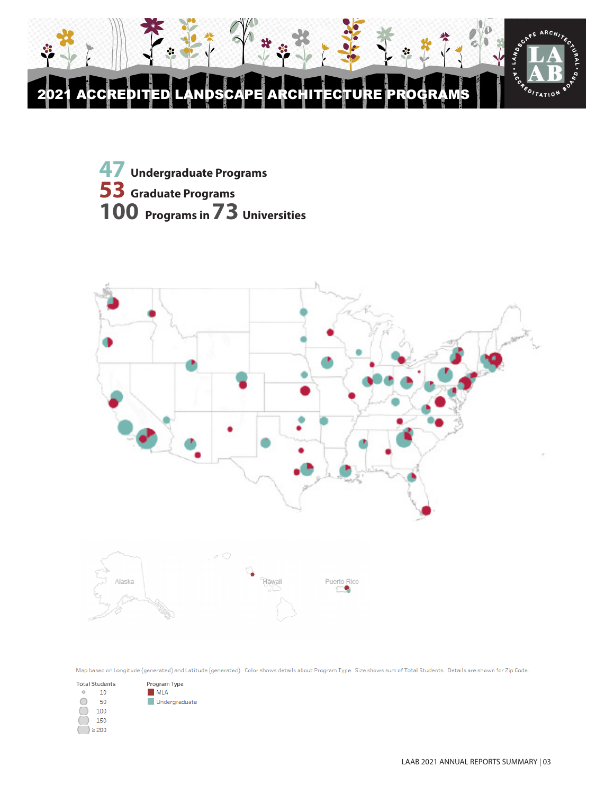





Map based on Longitude (generated) and Latitude (generated). Color shows details about Program Type. Size shows sum of Total Students. Details are shown for Zip Code.

| <b>Total Students</b> |       | Program Type  |
|-----------------------|-------|---------------|
|                       | 10    | <b>MLA</b>    |
|                       | 50    | Undergraduate |
|                       | 100   |               |
|                       | 150   |               |
|                       | > 200 |               |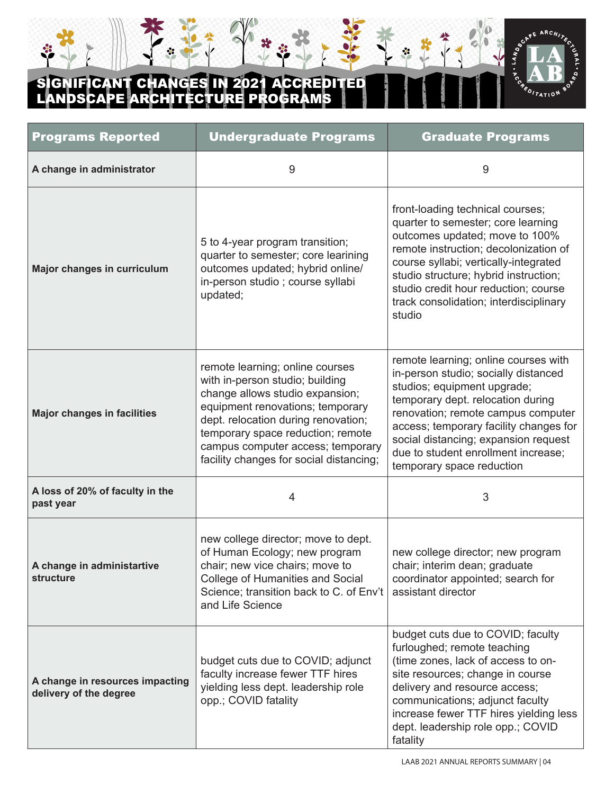# **CANT CHANGES IN 2021 ACCREDI** LANDSCAPE ARCHITECTURE PROGRAMS

÷



ų

| <b>Programs Reported</b>                                  | <b>Undergraduate Programs</b>                                                                                                                                                                                                                                                                         | <b>Graduate Programs</b>                                                                                                                                                                                                                                                                                                                     |
|-----------------------------------------------------------|-------------------------------------------------------------------------------------------------------------------------------------------------------------------------------------------------------------------------------------------------------------------------------------------------------|----------------------------------------------------------------------------------------------------------------------------------------------------------------------------------------------------------------------------------------------------------------------------------------------------------------------------------------------|
| A change in administrator                                 | 9                                                                                                                                                                                                                                                                                                     | 9                                                                                                                                                                                                                                                                                                                                            |
| Major changes in curriculum                               | 5 to 4-year program transition;<br>quarter to semester; core learining<br>outcomes updated; hybrid online/<br>in-person studio ; course syllabi<br>updated;                                                                                                                                           | front-loading technical courses;<br>quarter to semester; core learning<br>outcomes updated; move to 100%<br>remote instruction; decolonization of<br>course syllabi; vertically-integrated<br>studio structure; hybrid instruction;<br>studio credit hour reduction; course<br>track consolidation; interdisciplinary<br>studio              |
| <b>Major changes in facilities</b>                        | remote learning; online courses<br>with in-person studio; building<br>change allows studio expansion;<br>equipment renovations; temporary<br>dept. relocation during renovation;<br>temporary space reduction; remote<br>campus computer access; temporary<br>facility changes for social distancing; | remote learning; online courses with<br>in-person studio; socially distanced<br>studios; equipment upgrade;<br>temporary dept. relocation during<br>renovation; remote campus computer<br>access; temporary facility changes for<br>social distancing; expansion request<br>due to student enrollment increase;<br>temporary space reduction |
| A loss of 20% of faculty in the<br>past year              | 4                                                                                                                                                                                                                                                                                                     | 3                                                                                                                                                                                                                                                                                                                                            |
| A change in administartive<br>structure                   | new college director; move to dept.<br>of Human Ecology; new program<br>chair; new vice chairs; move to<br>College of Humanities and Social<br>Science; transition back to C. of Env't<br>and Life Science                                                                                            | new college director; new program<br>chair; interim dean; graduate<br>coordinator appointed; search for<br>assistant director                                                                                                                                                                                                                |
| A change in resources impacting<br>delivery of the degree | budget cuts due to COVID; adjunct<br>faculty increase fewer TTF hires<br>yielding less dept. leadership role<br>opp.; COVID fatality                                                                                                                                                                  | budget cuts due to COVID; faculty<br>furloughed; remote teaching<br>(time zones, lack of access to on-<br>site resources; change in course<br>delivery and resource access;<br>communications; adjunct faculty<br>increase fewer TTF hires yielding less<br>dept. leadership role opp.; COVID<br>fatality                                    |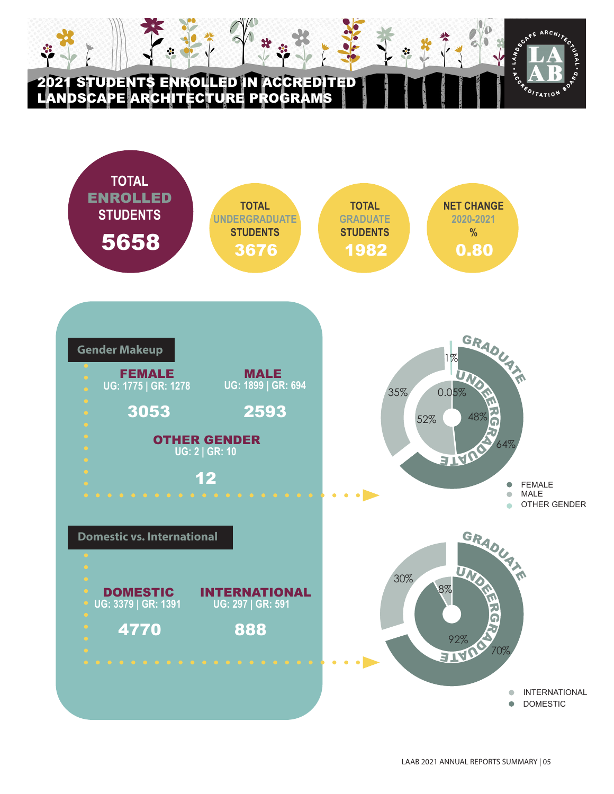## DENTS ENROLLED IN ACCREDITED LANDSCAPE ARCHITECTURE PROGRAMS



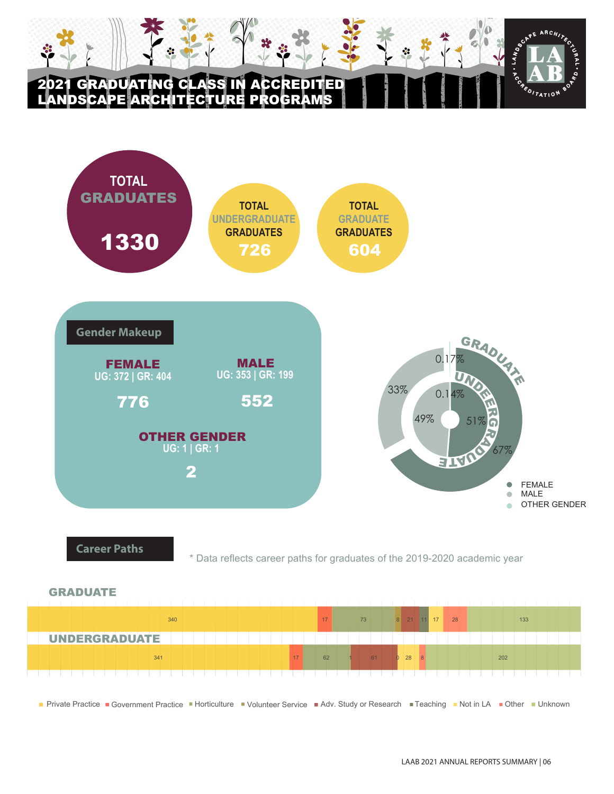# 2021 GRADUATING CLASS IN ACCREDITED LANDSCAPE ARCHITECTURE PROGRAMS





\* Data reflects career paths for graduates of the 2019-2020 academic year



APOITATION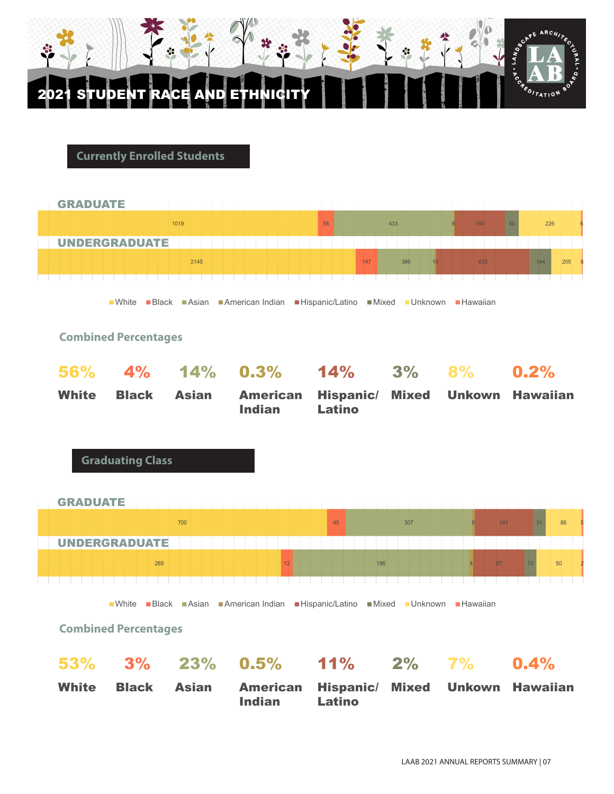

2021 STUDENT RACE AND ETHNICITY

**Currently Enrolled Students**



PE ARCH

PEDITATION

 $\ddot{\mathbf{u}}$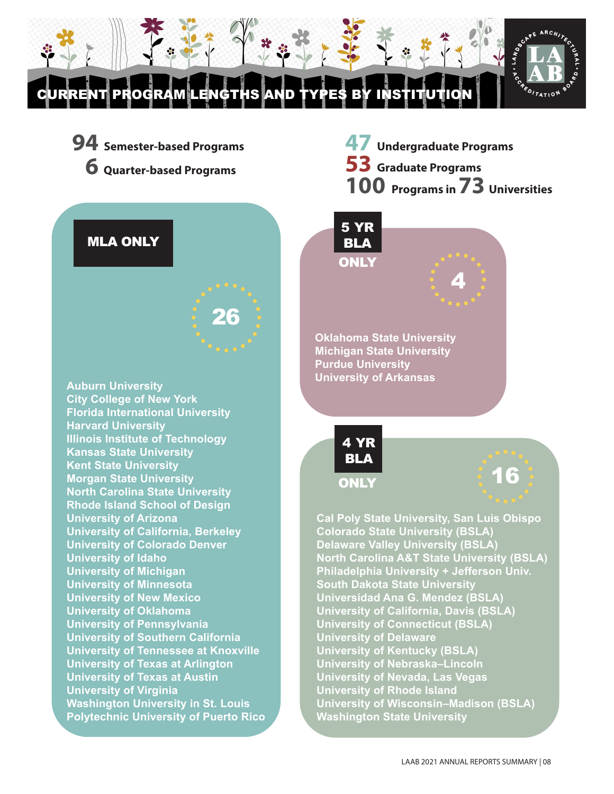CURRENT PROGRAM LENGTHS AND TYPES BY INSTITUTION

26



**94 Semester-based Programs 6 Quarter-based Programs**

**47 Undergraduate Programs 53 Graduate Programs 100 Programs in 73 Universities**



**Auburn University City College of New York Florida International University Harvard University Illinois Institute of Technology Kansas State University Kent State University Morgan State University North Carolina State University Rhode Island School of Design University of Arizona University of California, Berkeley University of Colorado Denver University of Idaho University of Michigan University of Minnesota University of New Mexico University of Oklahoma University of Pennsylvania University of Southern California University of Tennessee at Knoxville University of Texas at Arlington University of Texas at Austin** 

**University of Virginia Washington University in St. Louis Polytechnic University of Puerto Rico**





**Oklahoma State University Michigan State University Purdue University University of Arkansas**



16

**Cal Poly State University, San Luis Obispo Colorado State University (BSLA) Delaware Valley University (BSLA) North Carolina A&T State University (BSLA) Philadelphia University + Jefferson Univ. South Dakota State University Universidad Ana G. Mendez (BSLA) University of California, Davis (BSLA) University of Connecticut (BSLA) University of Delaware University of Kentucky (BSLA) University of Nebraska–Lincoln University of Nevada, Las Vegas University of Rhode Island University of Wisconsin–Madison (BSLA) Washington State University**